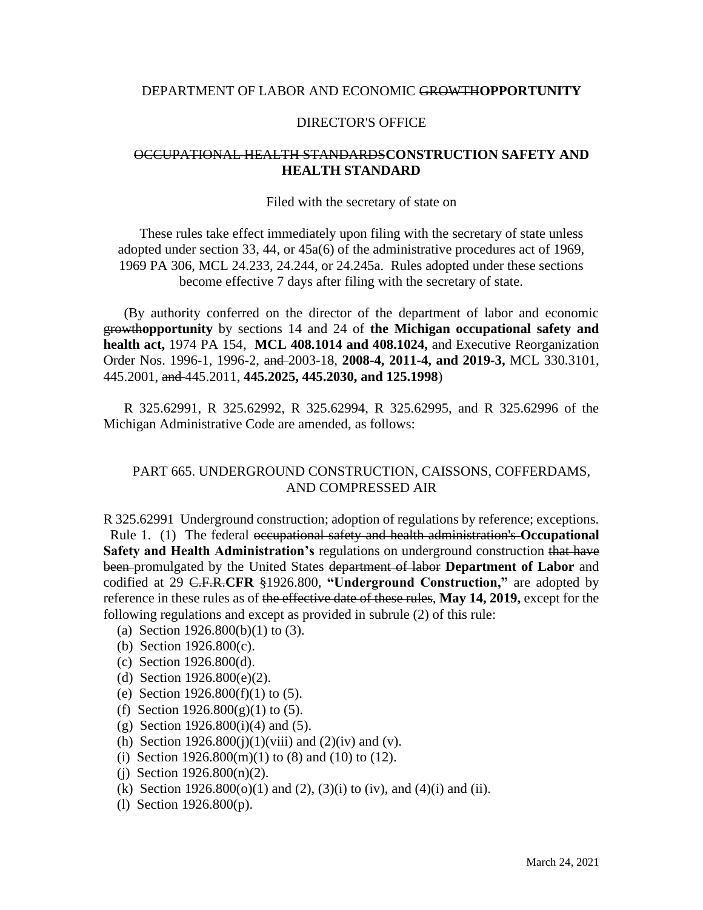# DEPARTMENT OF LABOR AND ECONOMIC GROWTH**OPPORTUNITY**

### DIRECTOR'S OFFICE

# OCCUPATIONAL HEALTH STANDARDS**CONSTRUCTION SAFETY AND HEALTH STANDARD**

#### Filed with the secretary of state on

These rules take effect immediately upon filing with the secretary of state unless adopted under section 33, 44, or 45a(6) of the administrative procedures act of 1969, 1969 PA 306, MCL 24.233, 24.244, or 24.245a. Rules adopted under these sections become effective 7 days after filing with the secretary of state.

(By authority conferred on the director of the department of labor and economic growth**opportunity** by sections 14 and 24 of **the Michigan occupational safety and health act,** 1974 PA 154, **MCL 408.1014 and 408.1024,** and Executive Reorganization Order Nos. 1996-1, 1996-2, and 2003-18, **2008-4, 2011-4, and 2019-3,** MCL 330.3101, 445.2001, and 445.2011, **445.2025, 445.2030, and 125.1998**)

R 325.62991, R 325.62992, R 325.62994, R 325.62995, and R 325.62996 of the Michigan Administrative Code are amended, as follows:

# PART 665. UNDERGROUND CONSTRUCTION, CAISSONS, COFFERDAMS, AND COMPRESSED AIR

R 325.62991 Underground construction; adoption of regulations by reference; exceptions. Rule 1. (1) The federal occupational safety and health administration's **Occupational Safety and Health Administration's** regulations on underground construction that have been promulgated by the United States department of labor **Department of Labor** and codified at 29 C.F.R.**CFR** §1926.800, **"Underground Construction,"** are adopted by reference in these rules as of the effective date of these rules, **May 14, 2019,** except for the following regulations and except as provided in subrule (2) of this rule:

- (a) Section 1926.800(b)(1) to (3).
- (b) Section 1926.800(c).
- (c) Section 1926.800(d).
- (d) Section 1926.800(e)(2).
- (e) Section 1926.800(f)(1) to (5).
- (f) Section  $1926.800(g)(1)$  to (5).
- (g) Section  $1926.800(i)(4)$  and  $(5)$ .
- (h) Section  $1926.800(i)(1)(viii)$  and  $(2)(iv)$  and  $(v)$ .
- (i) Section  $1926.800(m)(1)$  to  $(8)$  and  $(10)$  to  $(12)$ .
- (i) Section  $1926.800(n)(2)$ .
- (k) Section 1926.800(o)(1) and (2), (3)(i) to (iv), and (4)(i) and (ii).
- (l) Section 1926.800(p).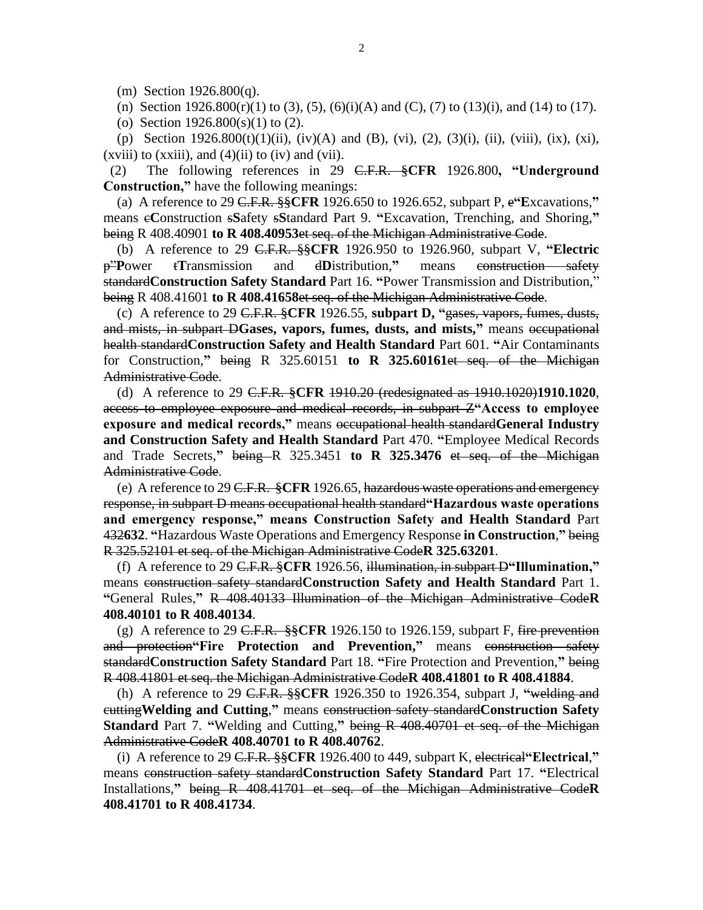(m) Section 1926.800(q).

(n) Section 1926.800(r)(1) to (3), (5), (6)(i)(A) and (C), (7) to (13)(i), and (14) to (17).

(o) Section 1926.800(s)(1) to (2).

(p) Section 1926.800(t)(1)(ii), (iv)(A) and (B), (vi), (2), (3)(i), (ii), (viii), (ix), (xi),  $(xviii)$  to  $(xxiii)$ , and  $(4)(ii)$  to  $(iv)$  and  $(vii)$ .

 (2) The following references in 29 C.F.R. §**CFR** 1926.800**, "Underground Construction,"** have the following meanings:

 (a) A reference to 29 C.F.R. §§**CFR** 1926.650 to 1926.652, subpart P, e**"E**xcavations,**"** means c**C**onstruction s**S**afety s**S**tandard Part 9. **"**Excavation, Trenching, and Shoring,**"** being R 408.40901 **to R 408.40953**et seq. of the Michigan Administrative Code.

 (b) A reference to 29 C.F.R. §§**CFR** 1926.950 to 1926.960, subpart V, **"Electric**  p"**P**ower t**T**ransmission and d**D**istribution,**"** means construction safety standard**Construction Safety Standard** Part 16. **"**Power Transmission and Distribution," being R 408.41601 **to R 408.41658**et seq. of the Michigan Administrative Code.

 (c) A reference to 29 C.F.R. §**CFR** 1926.55, **subpart D, "**gases, vapors, fumes, dusts, and mists, in subpart D**Gases, vapors, fumes, dusts, and mists,"** means occupational health standard**Construction Safety and Health Standard** Part 601. **"**Air Contaminants for Construction,**"** being R 325.60151 **to R 325.60161**et seq. of the Michigan Administrative Code.

 (d) A reference to 29 C.F.R. §**CFR** 1910.20 (redesignated as 1910.1020)**1910.1020**, access to employee exposure and medical records, in subpart Z**"Access to employee exposure and medical records,"** means occupational health standard**General Industry and Construction Safety and Health Standard** Part 470. **"**Employee Medical Records and Trade Secrets," being R 325.3451 **to R 325.3476** et seq. of the Michigan Administrative Code.

 (e) A reference to 29 C.F.R. §**CFR** 1926.65, hazardous waste operations and emergency response, in subpart D means occupational health standard**"Hazardous waste operations and emergency response," means Construction Safety and Health Standard** Part 432**632**. **"**Hazardous Waste Operations and Emergency Response **in Construction**,**"** being R 325.52101 et seq. of the Michigan Administrative Code**R 325.63201**.

 (f) A reference to 29 C.F.R. §**CFR** 1926.56, illumination, in subpart D**"Illumination,"** means construction safety standard**Construction Safety and Health Standard** Part 1. **"**General Rules,**"** R 408.40133 Illumination of the Michigan Administrative Code**R 408.40101 to R 408.40134**.

 (g) A reference to 29 C.F.R. §§**CFR** 1926.150 to 1926.159, subpart F, fire prevention and protection**"Fire Protection and Prevention,"** means construction safety standard**Construction Safety Standard** Part 18. **"**Fire Protection and Prevention,**"** being R 408.41801 et seq. the Michigan Administrative Code**R 408.41801 to R 408.41884**.

 (h) A reference to 29 C.F.R. §§**CFR** 1926.350 to 1926.354, subpart J, **"**welding and cutting**Welding and Cutting**,**"** means construction safety standard**Construction Safety Standard** Part 7. **"**Welding and Cutting,**"** being R 408.40701 et seq. of the Michigan Administrative Code**R 408.40701 to R 408.40762**.

 (i) A reference to 29 C.F.R. §§**CFR** 1926.400 to 449, subpart K, electrical**"Electrical**,**"** means construction safety standard**Construction Safety Standard** Part 17. **"**Electrical Installations,**"** being R 408.41701 et seq. of the Michigan Administrative Code**R 408.41701 to R 408.41734**.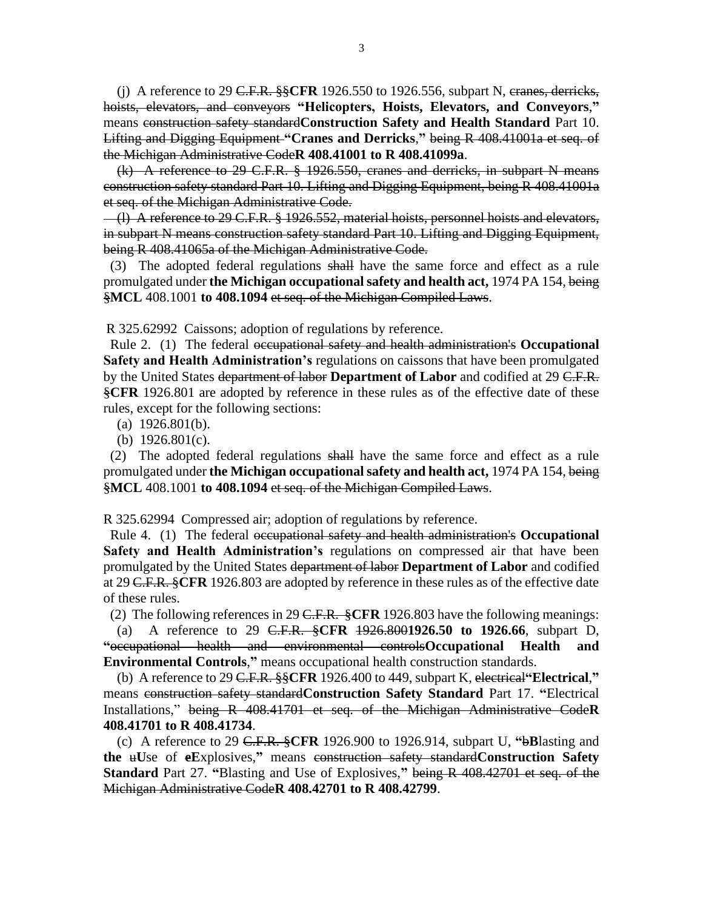(j) A reference to 29 C.F.R. §§**CFR** 1926.550 to 1926.556, subpart N, cranes, derricks, hoists, elevators, and conveyors **"Helicopters, Hoists, Elevators, and Conveyors**,**"** means construction safety standard**Construction Safety and Health Standard** Part 10. Lifting and Digging Equipment **"Cranes and Derricks**,**"** being R 408.41001a et seq. of the Michigan Administrative Code**R 408.41001 to R 408.41099a**.

 (k) A reference to 29 C.F.R. § 1926.550, cranes and derricks, in subpart N means construction safety standard Part 10. Lifting and Digging Equipment, being R 408.41001a et seq. of the Michigan Administrative Code.

 (l) A reference to 29 C.F.R. § 1926.552, material hoists, personnel hoists and elevators, in subpart N means construction safety standard Part 10. Lifting and Digging Equipment, being R 408.41065a of the Michigan Administrative Code.

 (3) The adopted federal regulations shall have the same force and effect as a rule promulgated under **the Michigan occupational safety and health act,** 1974 PA 154, being §**MCL** 408.1001 **to 408.1094** et seq. of the Michigan Compiled Laws.

R 325.62992 Caissons; adoption of regulations by reference.

 Rule 2. (1) The federal occupational safety and health administration's **Occupational Safety and Health Administration's** regulations on caissons that have been promulgated by the United States department of labor **Department of Labor** and codified at 29 C.F.R. §**CFR** 1926.801 are adopted by reference in these rules as of the effective date of these rules, except for the following sections:

- (a) 1926.801(b).
- (b) 1926.801(c).

 (2) The adopted federal regulations shall have the same force and effect as a rule promulgated under **the Michigan occupational safety and health act,** 1974 PA 154, being §**MCL** 408.1001 **to 408.1094** et seq. of the Michigan Compiled Laws.

R 325.62994 Compressed air; adoption of regulations by reference.

 Rule 4. (1) The federal occupational safety and health administration's **Occupational Safety and Health Administration's** regulations on compressed air that have been promulgated by the United States department of labor **Department of Labor** and codified at 29 C.F.R. §**CFR** 1926.803 are adopted by reference in these rules as of the effective date of these rules.

(2) The following references in 29 C.F.R. §**CFR** 1926.803 have the following meanings:

 (a) A reference to 29 C.F.R. §**CFR** 1926.800**1926.50 to 1926.66**, subpart D, **"**occupational health and environmental controls**Occupational Health and Environmental Controls**,**"** means occupational health construction standards.

 (b) A reference to 29 C.F.R. §§**CFR** 1926.400 to 449, subpart K, electrical**"Electrical**,**"** means construction safety standard**Construction Safety Standard** Part 17. **"**Electrical Installations," being R 408.41701 et seq. of the Michigan Administrative Code**R 408.41701 to R 408.41734**.

 (c) A reference to 29 C.F.R. §**CFR** 1926.900 to 1926.914, subpart U, **"**b**B**lasting and **the** u**U**se of **eE**xplosives,**"** means construction safety standard**Construction Safety Standard** Part 27. **"**Blasting and Use of Explosives,**"** being R 408.42701 et seq. of the Michigan Administrative Code**R 408.42701 to R 408.42799**.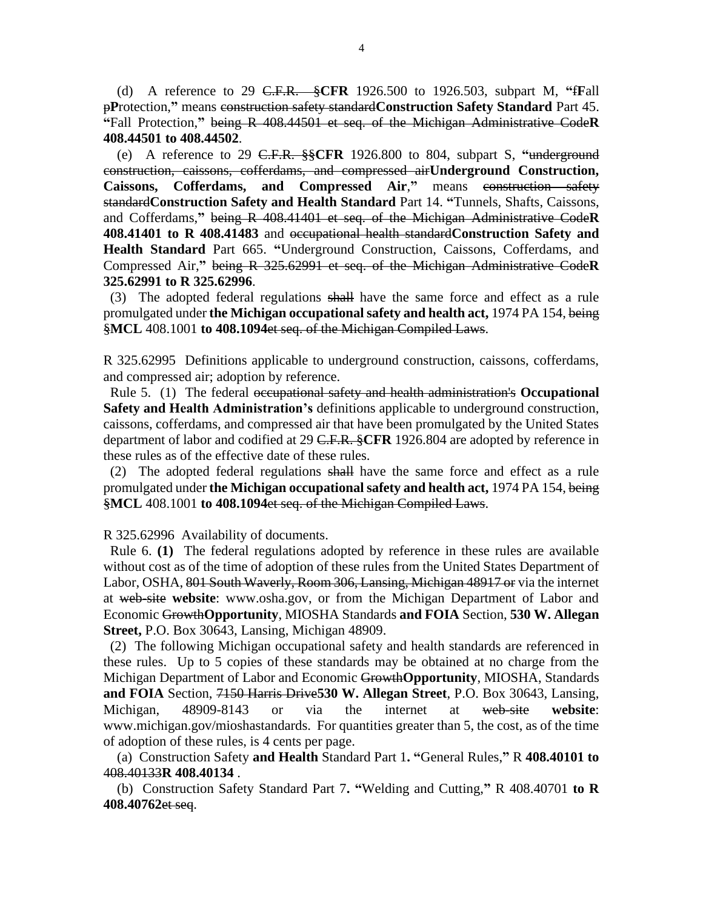(d) A reference to 29 C.F.R. §**CFR** 1926.500 to 1926.503, subpart M, **"**f**F**all p**P**rotection,**"** means construction safety standard**Construction Safety Standard** Part 45. **"**Fall Protection,**"** being R 408.44501 et seq. of the Michigan Administrative Code**R 408.44501 to 408.44502**.

 (e) A reference to 29 C.F.R. §§**CFR** 1926.800 to 804, subpart S, **"**underground construction, caissons, cofferdams, and compressed air**Underground Construction, Caissons, Cofferdams, and Compressed Air**,**"** means construction safety standard**Construction Safety and Health Standard** Part 14. **"**Tunnels, Shafts, Caissons, and Cofferdams,**"** being R 408.41401 et seq. of the Michigan Administrative Code**R 408.41401 to R 408.41483** and occupational health standard**Construction Safety and Health Standard** Part 665. **"**Underground Construction, Caissons, Cofferdams, and Compressed Air,**"** being R 325.62991 et seq. of the Michigan Administrative Code**R 325.62991 to R 325.62996**.

 (3) The adopted federal regulations shall have the same force and effect as a rule promulgated under **the Michigan occupational safety and health act,** 1974 PA 154, being §**MCL** 408.1001 **to 408.1094**et seq. of the Michigan Compiled Laws.

R 325.62995 Definitions applicable to underground construction, caissons, cofferdams, and compressed air; adoption by reference.

 Rule 5. (1) The federal occupational safety and health administration's **Occupational Safety and Health Administration's** definitions applicable to underground construction, caissons, cofferdams, and compressed air that have been promulgated by the United States department of labor and codified at 29 C.F.R. §**CFR** 1926.804 are adopted by reference in these rules as of the effective date of these rules.

 (2) The adopted federal regulations shall have the same force and effect as a rule promulgated under **the Michigan occupational safety and health act,** 1974 PA 154, being §**MCL** 408.1001 **to 408.1094**et seq. of the Michigan Compiled Laws.

R 325.62996 Availability of documents.

 Rule 6. **(1)** The federal regulations adopted by reference in these rules are available without cost as of the time of adoption of these rules from the United States Department of Labor, OSHA, 801 South Waverly, Room 306, Lansing, Michigan 48917 or via the internet at web-site **website**: www.osha.gov, or from the Michigan Department of Labor and Economic Growth**Opportunity**, MIOSHA Standards **and FOIA** Section, **530 W. Allegan Street,** P.O. Box 30643, Lansing, Michigan 48909.

 (2) The following Michigan occupational safety and health standards are referenced in these rules. Up to 5 copies of these standards may be obtained at no charge from the Michigan Department of Labor and Economic Growth**Opportunity**, MIOSHA, Standards **and FOIA** Section, 7150 Harris Drive**530 W. Allegan Street**, P.O. Box 30643, Lansing, Michigan, 48909-8143 or via the internet at web-site **website**: www.michigan.gov/mioshastandards. For quantities greater than 5, the cost, as of the time of adoption of these rules, is 4 cents per page.

 (a) Construction Safety **and Health** Standard Part 1**. "**General Rules,**"** R **408.40101 to** 408.40133**R 408.40134** .

 (b) Construction Safety Standard Part 7**. "**Welding and Cutting,**"** R 408.40701 **to R 408.40762**et seq.